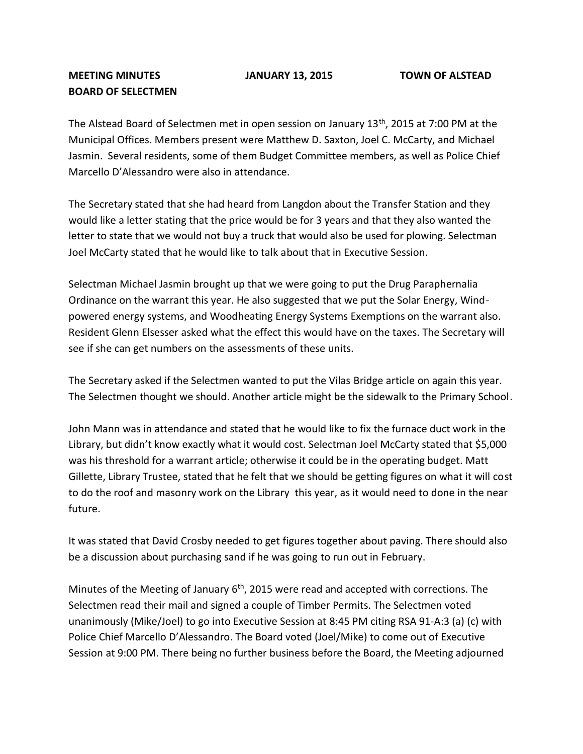## **MEETING MINUTES JANUARY 13, 2015 TOWN OF ALSTEAD BOARD OF SELECTMEN**

The Alstead Board of Selectmen met in open session on January 13<sup>th</sup>, 2015 at 7:00 PM at the Municipal Offices. Members present were Matthew D. Saxton, Joel C. McCarty, and Michael Jasmin. Several residents, some of them Budget Committee members, as well as Police Chief Marcello D'Alessandro were also in attendance.

The Secretary stated that she had heard from Langdon about the Transfer Station and they would like a letter stating that the price would be for 3 years and that they also wanted the letter to state that we would not buy a truck that would also be used for plowing. Selectman Joel McCarty stated that he would like to talk about that in Executive Session.

Selectman Michael Jasmin brought up that we were going to put the Drug Paraphernalia Ordinance on the warrant this year. He also suggested that we put the Solar Energy, Windpowered energy systems, and Woodheating Energy Systems Exemptions on the warrant also. Resident Glenn Elsesser asked what the effect this would have on the taxes. The Secretary will see if she can get numbers on the assessments of these units.

The Secretary asked if the Selectmen wanted to put the Vilas Bridge article on again this year. The Selectmen thought we should. Another article might be the sidewalk to the Primary School.

John Mann was in attendance and stated that he would like to fix the furnace duct work in the Library, but didn't know exactly what it would cost. Selectman Joel McCarty stated that \$5,000 was his threshold for a warrant article; otherwise it could be in the operating budget. Matt Gillette, Library Trustee, stated that he felt that we should be getting figures on what it will cost to do the roof and masonry work on the Library this year, as it would need to done in the near future.

It was stated that David Crosby needed to get figures together about paving. There should also be a discussion about purchasing sand if he was going to run out in February.

Minutes of the Meeting of January  $6<sup>th</sup>$ , 2015 were read and accepted with corrections. The Selectmen read their mail and signed a couple of Timber Permits. The Selectmen voted unanimously (Mike/Joel) to go into Executive Session at 8:45 PM citing RSA 91-A:3 (a) (c) with Police Chief Marcello D'Alessandro. The Board voted (Joel/Mike) to come out of Executive Session at 9:00 PM. There being no further business before the Board, the Meeting adjourned